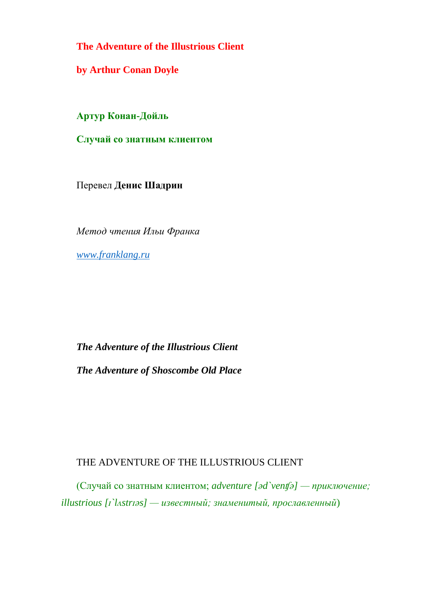**The Adventure of the Illustrious Client**

**by Arthur Conan Doyle**

**Артур Конан-Дойль**

**Случай со знатным клиентом**

Перевел **Денис Шадрин**

*Метод чтения Ильи Франка*

*[www.franklang.ru](http://www.franklang.ru/)*

## *The Adventure of the Illustrious Client*

*The Adventure of Shoscombe Old Place*

## THE ADVENTURE OF THE ILLUSTRIOUS CLIENT

(Случай со знатным клиентом; *adventure [əd`venʧə] — приключение; illustrious [ɪ`lʌstrɪəs] — известный; знаменитый, прославленный*)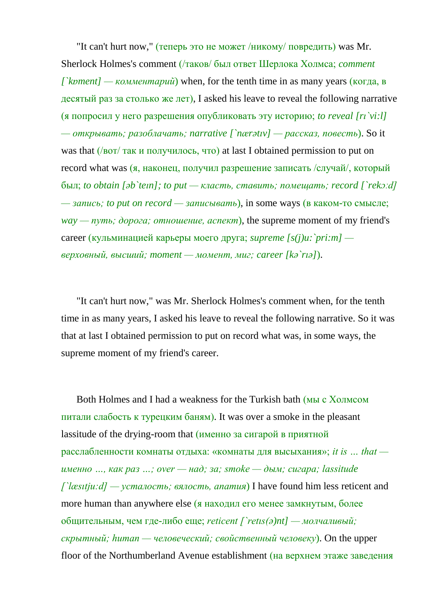"It can't hurt now," (теперь это не может /никому/ повредить) was Mr. Sherlock Holmes's comment (/таков/ был ответ Шерлока Холмса; *comment [`kɒment] — комментарий*) when, for the tenth time in as many years (когда, в десятый раз за столько же лет), I asked his leave to reveal the following narrative (я попросил у него разрешения опубликовать эту историю; *to reveal [rı`vi:l] — открывать; разоблачать; narrative [`nærətıv] — рассказ, повесть*). So it was that (/вот/ так и получилось, что) at last I obtained permission to put on record what was (я, наконец, получил разрешение записать /случай/, который был; *to obtain [əb`teın]; to put — класть, ставить; помещать; record [`rekɔːd] — запись; to put on record — записывать*), in some ways (в каком-то смысле; *way — путь; дорога; отношение, аспект*), the supreme moment of my friend's career (кульминацией карьеры моего друга; *supreme [s(j)u:`pri:m] верховный, высший; moment — момент, миг; career [kə`rıə]*).

"It can't hurt now," was Mr. Sherlock Holmes's comment when, for the tenth time in as many years, I asked his leave to reveal the following narrative. So it was that at last I obtained permission to put on record what was, in some ways, the supreme moment of my friend's career.

Both Holmes and I had a weakness for the Turkish bath (мы с Холмсом питали слабость к турецким баням). It was over a smoke in the pleasant lassitude of the drying-room that (именно за сигарой в приятной расслабленности комнаты отдыха: «комнаты для высыхания»; *it is … that именно …, как раз …; over — над; за; smoke — дым; сигара; lassitude [`læsıtju:d] — усталость; вялость, апатия*) I have found him less reticent and more human than anywhere else (я находил его менее замкнутым, более общительным, чем где-либо еще; *reticent [`retıs(ə)nt] — молчаливый; скрытный; human — человеческий; свойственный человеку*). On the upper floor of the Northumberland Avenue establishment (на верхнем этаже заведения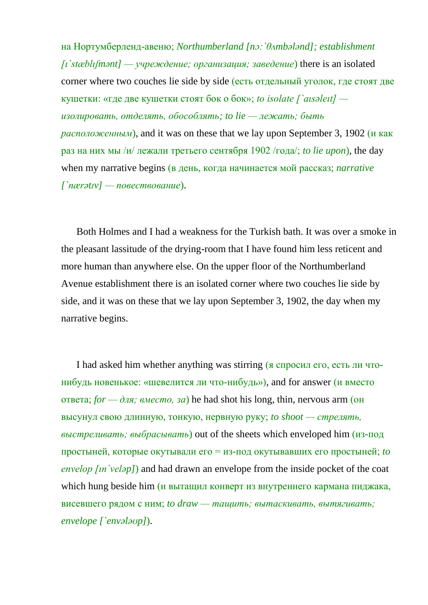на Нортумберленд-авеню; *Northumberland [nɔ:`θʌmbələnd]; establishment [ı`stæblıʃmənt] — учреждение; организация; заведение*) there is an isolated corner where two couches lie side by side (есть отдельный уголок, где стоят две кушетки: «где две кушетки стоят бок о бок»; *to isolate [`aısəleıt] изолировать, отделять, обособлять; to lie — лежать; быть расположенным*), and it was on these that we lay upon September 3, 1902 (и как раз на них мы /и/ лежали третьего сентября 1902 /года/; *to lie upon*), the day when my narrative begins (в день, когда начинается мой рассказ; *narrative [`nærətɪv] — повествование*).

Both Holmes and I had a weakness for the Turkish bath. It was over a smoke in the pleasant lassitude of the drying-room that I have found him less reticent and more human than anywhere else. On the upper floor of the Northumberland Avenue establishment there is an isolated corner where two couches lie side by side, and it was on these that we lay upon September 3, 1902, the day when my narrative begins.

I had asked him whether anything was stirring (я спросил его, есть ли чтонибудь новенькое: «шевелится ли что-нибудь»), and for answer (и вместо ответа; *for — для; вместо, за*) he had shot his long, thin, nervous arm (он высунул свою длинную, тонкую, нервную руку; *to shoot — стрелять, выстреливать; выбрасывать*) out of the sheets which enveloped him (из-под простыней, которые окутывали его = из-под окутывавших его простыней; *to envelop [ın`veləp]*) and had drawn an envelope from the inside pocket of the coat which hung beside him (и вытащил конверт из внутреннего кармана пиджака, висевшего рядом с ним; *to draw — тащить; вытаскивать, вытягивать; envelope [`envələʊp]*).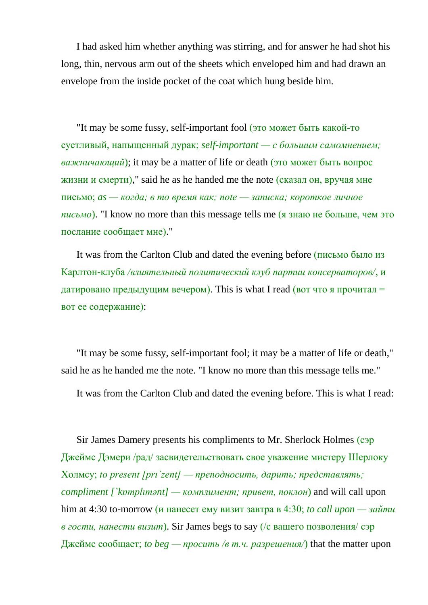I had asked him whether anything was stirring, and for answer he had shot his long, thin, nervous arm out of the sheets which enveloped him and had drawn an envelope from the inside pocket of the coat which hung beside him.

"It may be some fussy, self-important fool (это может быть какой-то суетливый, напыщенный дурак; *self-important — с большим самомнением; важничающий*); it may be a matter of life or death (это может быть вопрос жизни и смерти)," said he as he handed me the note (сказал он, вручая мне письмо; *as — когда; в то время как; note — записка; короткое личное письмо*). "I know no more than this message tells me (я знаю не больше, чем это послание сообщает мне)."

It was from the Carlton Club and dated the evening before (письмо было из Карлтон-клуба */влиятельный политический клуб партии консерваторов/*, и датировано предыдущим вечером). This is what I read (вот что я прочитал = вот ее содержание):

"It may be some fussy, self-important fool; it may be a matter of life or death," said he as he handed me the note. "I know no more than this message tells me."

It was from the Carlton Club and dated the evening before. This is what I read:

Sir James Damery presents his compliments to Mr. Sherlock Holmes (сэр Джеймс Дэмери /рад/ засвидетельствовать свое уважение мистеру Шерлоку Холмсу; *to present [prı`zent] — преподносить, дарить; представлять; compliment [`kɒmplımənt] — комплимент; привет, поклон*) and will call upon him at 4:30 to-morrow (и нанесет ему визит завтра в 4:30; *to call upon — зайти в гости, нанести визит*). Sir James begs to say (/с вашего позволения/ сэр Джеймс сообщает; *to beg — просить /в т.ч. разрешения/*) that the matter upon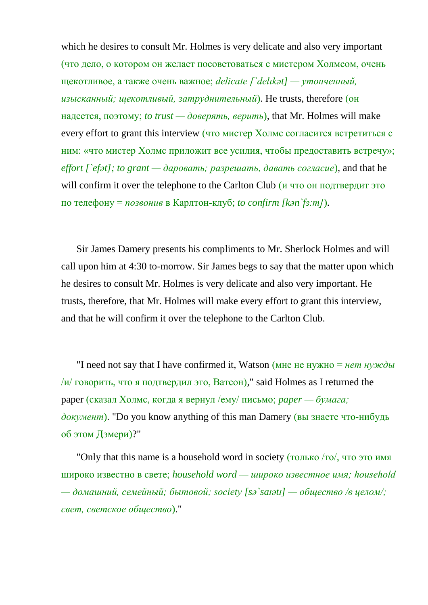which he desires to consult Mr. Holmes is very delicate and also very important (что дело, о котором он желает посоветоваться с мистером Холмсом, очень щекотливое, а также очень важное; *delicate [`delıkət] — утонченный, изысканный; щекотливый, затруднительный*). He trusts, therefore (он надеется, поэтому; *to trust — доверять, верить*), that Mr. Holmes will make every effort to grant this interview (что мистер Холмс согласится встретиться с ним: «что мистер Холмс приложит все усилия, чтобы предоставить встречу»; *effort [`efət]; to grant — даровать; разрешать, давать согласие*), and that he will confirm it over the telephone to the Carlton Club (и что он подтвердит это по телефону = *позвонив* в Карлтон-клуб; *to confirm [kən`fɜːm]*).

Sir James Damery presents his compliments to Mr. Sherlock Holmes and will call upon him at 4:30 to-morrow. Sir James begs to say that the matter upon which he desires to consult Mr. Holmes is very delicate and also very important. He trusts, therefore, that Mr. Holmes will make every effort to grant this interview, and that he will confirm it over the telephone to the Carlton Club.

"I need not say that I have confirmed it, Watson (мне не нужно = *нет нужды*  $\mu$ /и/ говорить, что я подтвердил это, Ватсон)," said Holmes as I returned the paper (сказал Холмс, когда я вернул /ему/ письмо; *paper — бумага; документ*). "Do you know anything of this man Damery (вы знаете что-нибудь об этом Дэмери)?"

"Only that this name is a household word in society (только /то/, что это имя широко известно в свете; *household word — широко известное имя; household — домашний, семейный; бытовой; society [sə`saɪətɪ] — общество /в целом/; свет, светское общество*)."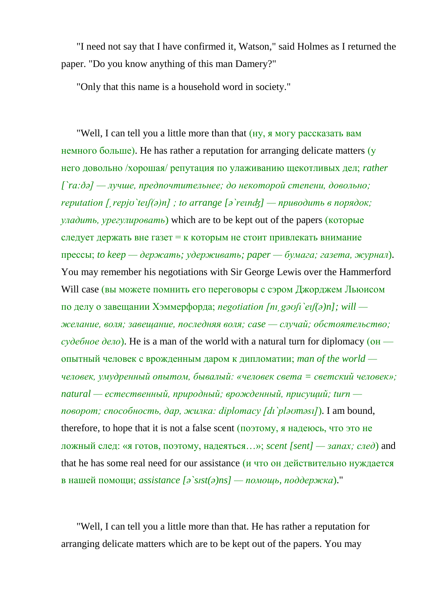"I need not say that I have confirmed it, Watson," said Holmes as I returned the paper. "Do you know anything of this man Damery?"

"Only that this name is a household word in society."

"Well, I can tell you a little more than that (ну, я могу рассказать вам немного больше). He has rather a reputation for arranging delicate matters (у него довольно /хорошая/ репутация по улаживанию щекотливых дел; *rather [`rɑ:ðə] — лучше, предпочтительнее; до некоторой степени, довольно; reputation [ˏrepjʊ`teıʃ(ə)n] ; to arrange [ə`reınʤ] — приводить в порядок; уладить, урегулировать*) which are to be kept out of the papers (которые следует держать вне газет = к которым не стоит привлекать внимание прессы; *to keep — держать; удерживать; paper — бумага; газета, журнал*). You may remember his negotiations with Sir George Lewis over the Hammerford Will case (вы можете помнить его переговоры с сэром Джорджем Льюисом по делу о завещании Хэммерфорда; *negotiation [nıˏgəʊʃı`eıʃ(ə)n]; will желание, воля; завещание, последняя воля; case — случай; обстоятельство; судебное дело*). He is a man of the world with a natural turn for diplomacy (он опытный человек с врожденным даром к дипломатии; *man of the world человек, умудренный опытом, бывалый: «человек света = светский человек»; natural — естественный, природный; врожденный, присущий; turn поворот; способность, дар, жилка: diplomacy [dı`pləʊməsı]*). I am bound, therefore, to hope that it is not a false scent (поэтому, я надеюсь, что это не ложный след: «я готов, поэтому, надеяться…»; *scent [sent] — запах; след*) and that he has some real need for our assistance (и что он действительно нуждается в нашей помощи; *assistance [ə`sɪst(ə)ns] — помощь, поддержка*)."

"Well, I can tell you a little more than that. He has rather a reputation for arranging delicate matters which are to be kept out of the papers. You may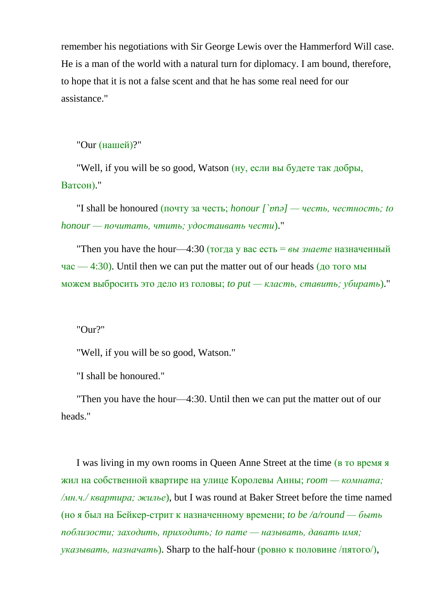remember his negotiations with Sir George Lewis over the Hammerford Will case. He is a man of the world with a natural turn for diplomacy. I am bound, therefore, to hope that it is not a false scent and that he has some real need for our assistance."

"Our (нашей)?"

"Well, if you will be so good, Watson (ну, если вы будете так добры, Ватсон)."

"I shall be honoured (почту за честь; *honour [`ɒnə] — честь, честность; to honour — почитать, чтить; удостаивать чести*)."

"Then you have the hour—4:30 (тогда у вас есть = *вы знаете* назначенный час — 4:30). Until then we can put the matter out of our heads (до того мы можем выбросить это дело из головы; *to put — класть, ставить; убирать*)."

"Our?"

"Well, if you will be so good, Watson."

"I shall be honoured."

"Then you have the hour—4:30. Until then we can put the matter out of our heads."

I was living in my own rooms in Queen Anne Street at the time (в то время я жил на собственной квартире на улице Королевы Анны; *room — комната; /мн.ч./ квартира; жилье*), but I was round at Baker Street before the time named (но я был на Бейкер-стрит к назначенному времени; *to be /a/round — быть поблизости; заходить, приходить; to name — называть, давать имя; указывать, назначать*). Sharp to the half-hour (ровно к половине /пятого/),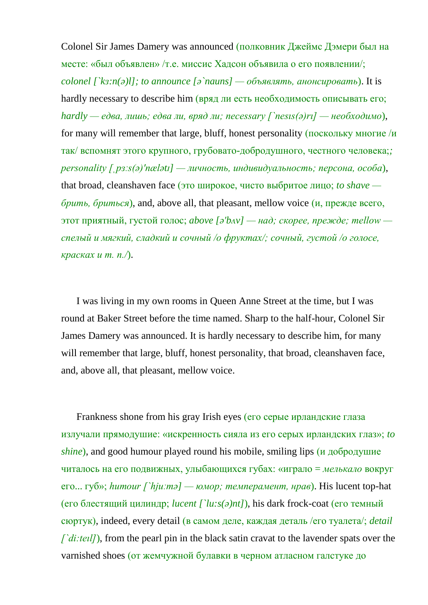Colonel Sir James Damery was announced (полковник Джеймс Дэмери был на месте: «был объявлен» /т.е. миссис Хадсон объявила о его появлении/; *colonel [`kɜ:n(ə)l]; to announce [ə`nauns] — объявлять, анонсировать*). It is hardly necessary to describe him (вряд ли есть необходимость описывать его; *hardly — едва, лишь; едва ли, вряд ли; necessary [`nesıs(ə)rı] — необходимо*), for many will remember that large, bluff, honest personality (поскольку многие /и так/ вспомнят этого крупного, грубовато-добродушного, честного человека;*; personality [ˌpɜːs(ə)'nælətɪ] — личность, индивидуальность; персона, особа*), that broad, cleanshaven face (это широкое, чисто выбритое лицо; *to shave брить, бриться*), and, above all, that pleasant, mellow voice (и, прежде всего, этот приятный, густой голос; *above [ə'bʌv] — над; скорее, прежде; mellow спелый и мягкий, сладкий и сочный /о фруктах/; сочный, густой /о голосе, красках и т. п./*).

I was living in my own rooms in Queen Anne Street at the time, but I was round at Baker Street before the time named. Sharp to the half-hour, Colonel Sir James Damery was announced. It is hardly necessary to describe him, for many will remember that large, bluff, honest personality, that broad, cleanshaven face, and, above all, that pleasant, mellow voice.

Frankness shone from his gray Irish eyes (его серые ирландские глаза излучали прямодушие: «искренность сияла из его серых ирландских глаз»; *to shine*), and good humour played round his mobile, smiling lips (и добродушие читалось на его подвижных, улыбающихся губах: «играло = *мелькало* вокруг его... губ»; *humour [`hjuːmə] — юмор; темперамент, нрав*). His lucent top-hat (его блестящий цилиндр; *lucent [`lu:s(ə)nt]*), his dark frock-coat (его темный сюртук), indeed, every detail (в самом деле, каждая деталь /его туалета/; *detail [`di:teil]*), from the pearl pin in the black satin cravat to the lavender spats over the varnished shoes (от жемчужной булавки в черном атласном галстуке до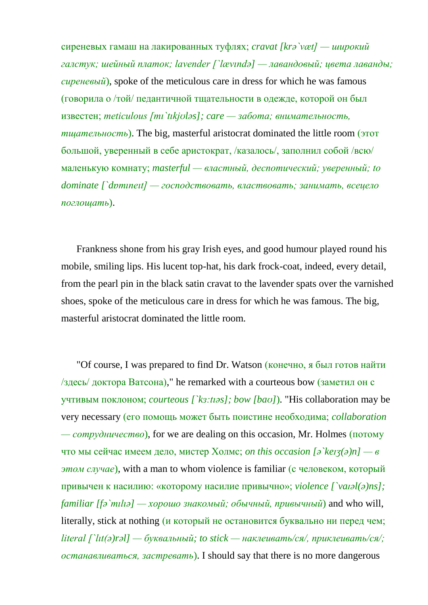сиреневых гамаш на лакированных туфлях; *cravat [krə`væt] — широкий галстук; шейный платок; lavender [`lævındə] — лавандовый; цвета лаванды; сиреневый*), spoke of the meticulous care in dress for which he was famous (говорила о /той/ педантичной тщательности в одежде, которой он был известен; *meticulous [mı`tıkjʊləs]; care — забота; внимательность, тщательность*). The big, masterful aristocrat dominated the little room (этот большой, уверенный в себе аристократ, /казалось/, заполнил собой /всю/ маленькую комнату; *masterful — властный, деспотический; уверенный; to dominate [`dɒmıneıt] — господствовать, властвовать; занимать, всецело поглощать*).

Frankness shone from his gray Irish eyes, and good humour played round his mobile, smiling lips. His lucent top-hat, his dark frock-coat, indeed, every detail, from the pearl pin in the black satin cravat to the lavender spats over the varnished shoes, spoke of the meticulous care in dress for which he was famous. The big, masterful aristocrat dominated the little room.

"Of course, I was prepared to find Dr. Watson (конечно, я был готов найти /здесь/ доктора Ватсона)," he remarked with a courteous bow (заметил он с учтивым поклоном; *courteous [`kɜ:tıəs]; bow [baʊ]*). "His collaboration may be very necessary (его помощь может быть поистине необходима; *collaboration — сотрудничество*), for we are dealing on this occasion, Mr. Holmes (потому что мы сейчас имеем дело, мистер Холмс; *on this occasion [ə`keɪʒ(ə)n] — в этом случае*), with a man to whom violence is familiar (с человеком, который привычен к насилию: «которому насилие привычно»; *violence [`vaɪəl(ə)ns]; familiar [fə`mılıə] — хорошо знакомый; обычный, привычный*) and who will, literally, stick at nothing (и который не остановится буквально ни перед чем; *literal [`lıt(ə)rəl] — буквальный; to stick — наклеивать/ся/, приклеивать/ся/; останавливаться, застревать*). I should say that there is no more dangerous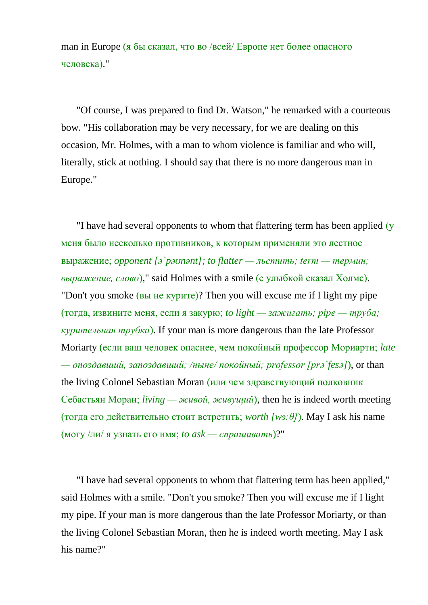man in Europe (я бы сказал, что во /всей/ Европе нет более опасного человека)."

"Of course, I was prepared to find Dr. Watson," he remarked with a courteous bow. "His collaboration may be very necessary, for we are dealing on this occasion, Mr. Holmes, with a man to whom violence is familiar and who will, literally, stick at nothing. I should say that there is no more dangerous man in Europe."

"I have had several opponents to whom that flattering term has been applied (у меня было несколько противников, к которым применяли это лестное выражение; *opponent [ə`pəʊnənt]; to flatter — льстить; term — термин; выражение, слово*)," said Holmes with a smile (с улыбкой сказал Холмс). "Don't you smoke (вы не курите)? Then you will excuse me if I light my pipe (тогда, извините меня, если я закурю; *to light — зажигать; pipe — труба; курительная трубка*). If your man is more dangerous than the late Professor Moriarty (если ваш человек опаснее, чем покойный профессор Мориарти; *late — опоздавший, запоздавший; /ныне/ покойный; professor [prə`fesə]*), or than the living Colonel Sebastian Moran (или чем здравствующий полковник Себастьян Моран; *living — живой, живущий*), then he is indeed worth meeting (тогда его действительно стоит встретить; *worth [wɜ:θ]*). May I ask his name (могу /ли/ я узнать его имя; *to ask — спрашивать*)?"

"I have had several opponents to whom that flattering term has been applied," said Holmes with a smile. "Don't you smoke? Then you will excuse me if I light my pipe. If your man is more dangerous than the late Professor Moriarty, or than the living Colonel Sebastian Moran, then he is indeed worth meeting. May I ask his name?"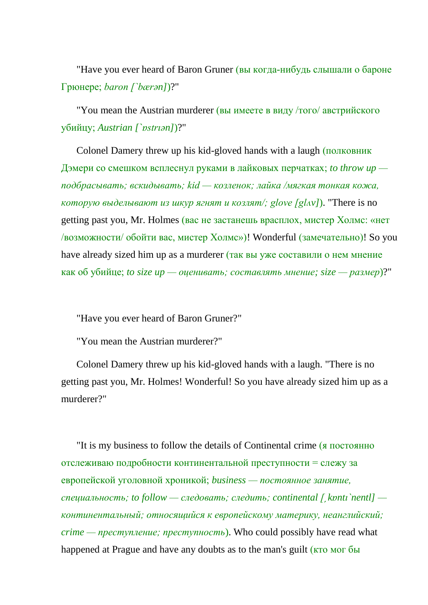"Have you ever heard of Baron Gruner (вы когда-нибудь слышали о бароне Грюнере; *baron [`bærən]*)?"

"You mean the Austrian murderer (вы имеете в виду /того/ австрийского убийцу; *Austrian [`ɒstrıən]*)?"

Colonel Damery threw up his kid-gloved hands with a laugh (полковник Дэмери со смешком всплеснул руками в лайковых перчатках; *to throw up подбрасывать; вскидывать; kid — козленок; лайка /мягкая тонкая кожа, которую выделывают из шкур ягнят и козлят/; glove [glʌv]*). "There is no getting past you, Mr. Holmes (вас не застанешь врасплох, мистер Холмс: «нет /возможности/ обойти вас, мистер Холмс»)! Wonderful (замечательно)! So you have already sized him up as a murderer (так вы уже составили о нем мнение как об убийце; *to size up — оценивать; составлять мнение; size — размер*)?"

"Have you ever heard of Baron Gruner?"

"You mean the Austrian murderer?"

Colonel Damery threw up his kid-gloved hands with a laugh. "There is no getting past you, Mr. Holmes! Wonderful! So you have already sized him up as a murderer?"

"It is my business to follow the details of Continental crime (я постоянно отслеживаю подробности континентальной преступности = слежу за европейской уголовной хроникой; *business — постоянное занятие, специальность; to follow — следовать; следить; continental [ˏkɒntı`nentl] континентальный; относящийся к европейскому материку, неанглийский; crime — преступление; преступность*). Who could possibly have read what happened at Prague and have any doubts as to the man's guilt (кто мог бы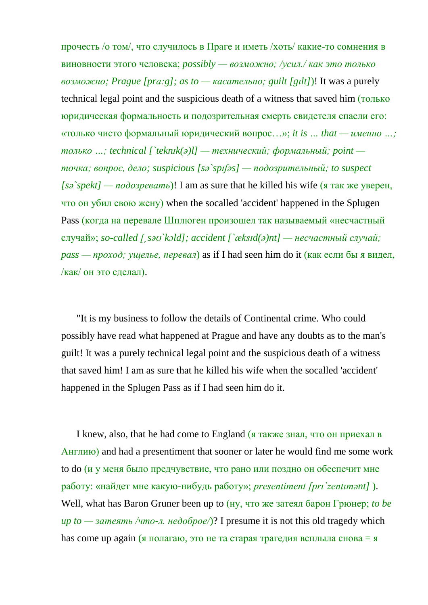прочесть /о том/, что случилось в Праге и иметь /хоть/ какие-то сомнения в виновности этого человека; *possibly — возможно; /усил./ как это только возможно; Prague [prɑ:g]; as to — касательно; guilt [gılt]*)! It was a purely technical legal point and the suspicious death of a witness that saved him (только юридическая формальность и подозрительная смерть свидетеля спасли его: «только чисто формальный юридический вопрос…»; *it is … that — именно …; только …; technical [`teknɪk(ə)l] — технический; формальный; point точка; вопрос, дело; suspicious [sə`spɪʃəs] — подозрительный; to suspect [sə`spekt] — подозревать*)! I am as sure that he killed his wife (я так же уверен, что он убил свою жену) when the socalled 'accident' happened in the Splugen Pass (когда на перевале Шплюген произошел так называемый «несчастный случай»; *so-called [ˏsəʊ`kɔld]; accident [`æksɪd(ə)nt] — несчастный случай; pass — проход; ущелье, перевал*) as if I had seen him do it (как если бы я видел, /как/ он это сделал).

"It is my business to follow the details of Continental crime. Who could possibly have read what happened at Prague and have any doubts as to the man's guilt! It was a purely technical legal point and the suspicious death of a witness that saved him! I am as sure that he killed his wife when the socalled 'accident' happened in the Splugen Pass as if I had seen him do it.

I knew, also, that he had come to England (я также знал, что он приехал в Англию) and had a presentiment that sooner or later he would find me some work to do (и у меня было предчувствие, что рано или поздно он обеспечит мне работу: «найдет мне какую-нибудь работу»; *presentiment [prı`zentımənt]* ). Well, what has Baron Gruner been up to (ну, что же затеял барон Грюнер; *to be up to — затеять /что-л. недоброе/*)? I presume it is not this old tragedy which has come up again (я полагаю, это не та старая трагедия всплыла снова = я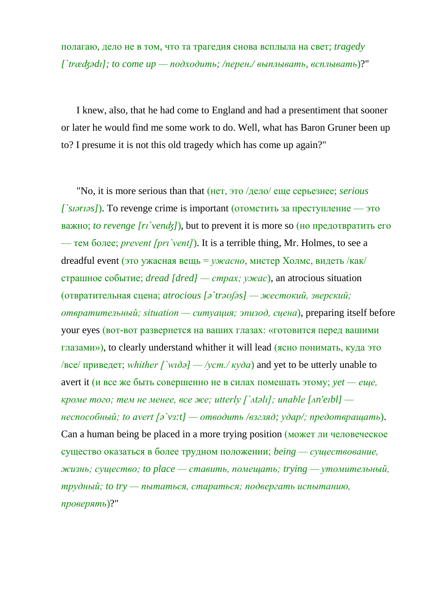полагаю, дело не в том, что та трагедия снова всплыла на свет; *tragedy [`træʤədɪ]; to come up — подходить; /перен./ выплывать, всплывать*)?"

I knew, also, that he had come to England and had a presentiment that sooner or later he would find me some work to do. Well, what has Baron Gruner been up to? I presume it is not this old tragedy which has come up again?"

"No, it is more serious than that (нет, это /дело/ еще серьезнее; *serious [`sɪərɪəs]*). To revenge crime is important (отомстить за преступление — это важно; *to revenge [rɪ`venʤ]*), but to prevent it is more so (но предотвратить его — тем более; *prevent [pri`vent]*). It is a terrible thing, Mr. Holmes, to see a dreadful event (это ужасная вещь = *ужасно*, мистер Холмс, видеть /как/ страшное событие; *dread [dred] — страх; ужас*), an atrocious situation (отвратительная сцена; *atrocious [ə`trəʊʃəs] — жестокий, зверский; отвратительный; situation — ситуация; эпизод, сцена*), preparing itself before your eyes (вот-вот развернется на ваших глазах: «готовится перед вашими глазами»), to clearly understand whither it will lead (ясно понимать, куда это /все/ приведет; *whither [`wıðə] — /уст./ куда*) and yet to be utterly unable to avert it (и все же быть совершенно не в силах помешать этому; *yet — еще, кроме того; тем не менее, все же; utterly [`ʌtəlı]; unable [ʌn'eɪbl] неспособный; to avert [ə`vɜ:t] — отводить /взгляд; удар/; предотвращать*). Can a human being be placed in a more trying position (может ли человеческое существо оказаться в более трудном положении; *being — существование, жизнь; существо; to place — ставить, помещать; trying — утомительный, трудный; to try — пытаться, стараться; подвергать испытанию, проверять*)?"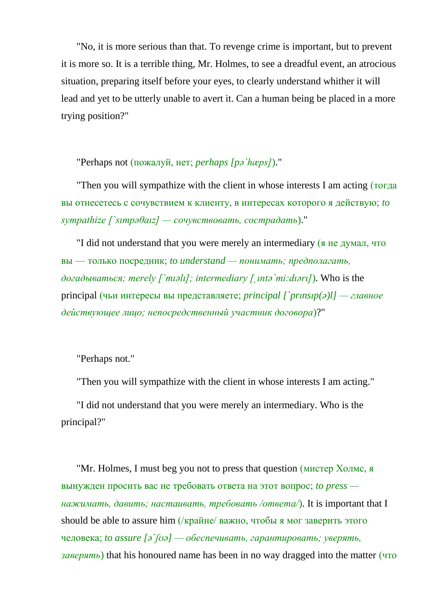"No, it is more serious than that. To revenge crime is important, but to prevent it is more so. It is a terrible thing, Mr. Holmes, to see a dreadful event, an atrocious situation, preparing itself before your eyes, to clearly understand whither it will lead and yet to be utterly unable to avert it. Can a human being be placed in a more trying position?"

"Perhaps not (пожалуй, нет; *perhaps [pə`hæps]*)."

"Then you will sympathize with the client in whose interests I am acting (тогда вы отнесетесь с сочувствием к клиенту, в интересах которого я действую; *to sympathize [`sımpəθaız] — сочувствовать, сострадать*)."

"I did not understand that you were merely an intermediary (я не думал, что вы — только посредник; *to understand — понимать; предполагать, догадываться; merely [`mıəlı]; intermediary [ˏıntə`mi:dıərı]*). Who is the principal (чьи интересы вы представляете; *principal [`prınsıp(ə)l] — главное действующее лицо; непосредственный участник договора*)?"

"Perhaps not."

"Then you will sympathize with the client in whose interests I am acting."

"I did not understand that you were merely an intermediary. Who is the principal?"

"Mr. Holmes, I must beg you not to press that question (мистер Холмс, я вынужден просить вас не требовать ответа на этот вопрос; *to press нажимать, давить; настаивать, требовать /ответа/*). It is important that I should be able to assure him (/крайне/ важно, чтобы я мог заверить этого человека; *to assure [ə`ʃʊə] — обеспечивать, гарантировать; уверять, заверять*) that his honoured name has been in no way dragged into the matter (что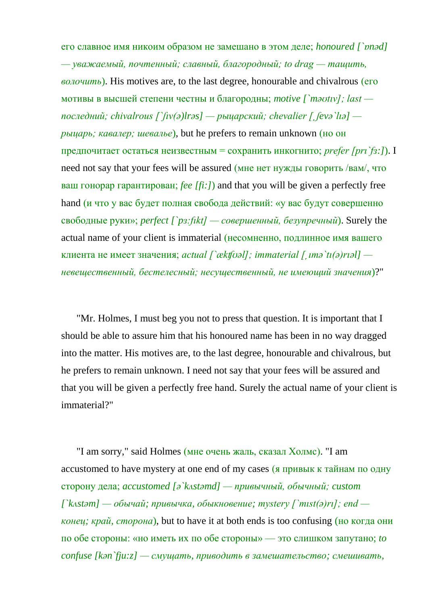его славное имя никоим образом не замешано в этом деле; *honoured [`ɒnəd] — уважаемый, почтенный; славный, благородный; to drag — тащить, волочить*). His motives are, to the last degree, honourable and chivalrous (его мотивы в высшей степени честны и благородны; *motive [`məʊtıv]; last последний; chivalrous [`ʃıv(ə)lrəs] — рыцарский; chevalier [ˏʃevə`lıə] рыцарь; кавалер; шевалье*), but he prefers to remain unknown (но он предпочитает остаться неизвестным = сохранить инкогнито; *prefer [prı`fɜ:]*). I need not say that your fees will be assured (мне нет нужды говорить /вам/, что ваш гонорар гарантирован; *fee [fi:]*) and that you will be given a perfectly free hand (и что у вас будет полная свобода действий: «у вас будут совершенно свободные руки»; *perfect [`pɜ:fıkt] — совершенный, безупречный*). Surely the actual name of your client is immaterial (несомненно, подлинное имя вашего клиента не имеет значения; *actual [`ækʧʊəl]; immaterial [ˏımə`tı(ə)rıəl] невещественный, бестелесный; несущественный, не имеющий значения*)?"

"Mr. Holmes, I must beg you not to press that question. It is important that I should be able to assure him that his honoured name has been in no way dragged into the matter. His motives are, to the last degree, honourable and chivalrous, but he prefers to remain unknown. I need not say that your fees will be assured and that you will be given a perfectly free hand. Surely the actual name of your client is immaterial?"

"I am sorry," said Holmes (мне очень жаль, сказал Холмс). "I am accustomed to have mystery at one end of my cases (я привык к тайнам по одну сторону дела; *accustomed [ə`kʌstəmd] — привычный, обычный; custom [`kʌstəm] — обычай; привычка, обыкновение; mystery [`mıst(ə)rı]; end конец; край, сторона*), but to have it at both ends is too confusing (но когда они по обе стороны: «но иметь их по обе стороны» — это слишком запутано; *to confuse [kən`fju:z] — смущать, приводить в замешательство; смешивать,*